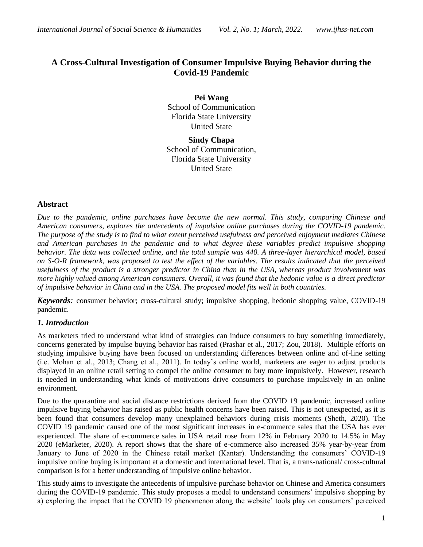# **A Cross-Cultural Investigation of Consumer Impulsive Buying Behavior during the Covid-19 Pandemic**

**Pei Wang** School of Communication Florida State University United State

**Sindy Chapa** School of Communication, Florida State University United State

### **Abstract**

*Due to the pandemic, online purchases have become the new normal. This study, comparing Chinese and American consumers, explores the antecedents of impulsive online purchases during the COVID-19 pandemic. The purpose of the study is to find to what extent perceived usefulness and perceived enjoyment mediates Chinese and American purchases in the pandemic and to what degree these variables predict impulsive shopping behavior. The data was collected online, and the total sample was 440. A three-layer hierarchical model, based on S-O-R framework, was proposed to test the effect of the variables. The results indicated that the perceived usefulness of the product is a stronger predictor in China than in the USA, whereas product involvement was more highly valued among American consumers. Overall, it was found that the hedonic value is a direct predictor of impulsive behavior in China and in the USA. The proposed model fits well in both countries.*

*Keywords:* consumer behavior; cross-cultural study; impulsive shopping, hedonic shopping value, COVID-19 pandemic.

### *1. Introduction*

As marketers tried to understand what kind of strategies can induce consumers to buy something immediately, concerns generated by impulse buying behavior has raised (Prashar et al., 2017; Zou, 2018). Multiple efforts on studying impulsive buying have been focused on understanding differences between online and of-line setting (i.e. Mohan et al., 2013; Chang et al., 2011). In today's online world, marketers are eager to adjust products displayed in an online retail setting to compel the online consumer to buy more impulsively. However, research is needed in understanding what kinds of motivations drive consumers to purchase impulsively in an online environment.

Due to the quarantine and social distance restrictions derived from the COVID 19 pandemic, increased online impulsive buying behavior has raised as public health concerns have been raised. This is not unexpected, as it is been found that consumers develop many unexplained behaviors during crisis moments (Sheth, 2020). The COVID 19 pandemic caused one of the most significant increases in e-commerce sales that the USA has ever experienced. The share of e-commerce sales in USA retail rose from 12% in February 2020 to 14.5% in May 2020 (eMarketer, 2020). A report shows that the share of e-commerce also increased 35% year-by-year from January to June of 2020 in the Chinese retail market (Kantar). Understanding the consumers' COVID-19 impulsive online buying is important at a domestic and international level. That is, a trans-national/ cross-cultural comparison is for a better understanding of impulsive online behavior.

This study aims to investigate the antecedents of impulsive purchase behavior on Chinese and America consumers during the COVID-19 pandemic. This study proposes a model to understand consumers' impulsive shopping by a) exploring the impact that the COVID 19 phenomenon along the website' tools play on consumers' perceived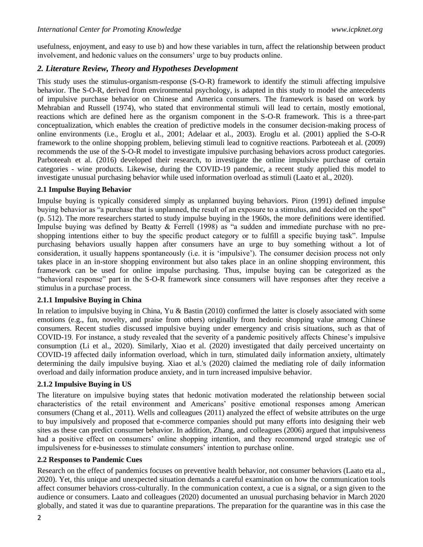usefulness, enjoyment, and easy to use b) and how these variables in turn, affect the relationship between product involvement, and hedonic values on the consumers' urge to buy products online.

# *2. Literature Review, Theory and Hypotheses Development*

This study uses the stimulus-organism-response (S-O-R) framework to identify the stimuli affecting impulsive behavior. The S-O-R, derived from environmental psychology, is adapted in this study to model the antecedents of impulsive purchase behavior on Chinese and America consumers. The framework is based on work by Mehrabian and Russell (1974), who stated that environmental stimuli will lead to certain, mostly emotional, reactions which are defined here as the organism component in the S-O-R framework. This is a three-part conceptualization, which enables the creation of predictive models in the consumer decision-making process of online environments (i.e., Eroglu et al., 2001; Adelaar et al., 2003). Eroglu et al. (2001) applied the S-O-R framework to the online shopping problem, believing stimuli lead to cognitive reactions. Parboteeah et al. (2009) recommends the use of the S-O-R model to investigate impulsive purchasing behaviors across product categories. Parboteeah et al. (2016) developed their research, to investigate the online impulsive purchase of certain categories - wine products. Likewise, during the COVID-19 pandemic, a recent study applied this model to investigate unusual purchasing behavior while used information overload as stimuli (Laato et al., 2020).

## **2.1 Impulse Buying Behavior**

Impulse buying is typically considered simply as unplanned buying behaviors. Piron (1991) defined impulse buying behavior as "a purchase that is unplanned, the result of an exposure to a stimulus, and decided on the spot" (p. 512). The more researchers started to study impulse buying in the 1960s, the more definitions were identified. Impulse buying was defined by Beatty & Ferrell (1998) as "a sudden and immediate purchase with no preshopping intentions either to buy the specific product category or to fulfill a specific buying task". Impulse purchasing behaviors usually happen after consumers have an urge to buy something without a lot of consideration, it usually happens spontaneously (i.e. it is 'impulsive'). The consumer decision process not only takes place in an in-store shopping environment but also takes place in an online shopping environment, this framework can be used for online impulse purchasing. Thus, impulse buying can be categorized as the "behavioral response" part in the S-O-R framework since consumers will have responses after they receive a stimulus in a purchase process.

# **2.1.1 Impulsive Buying in China**

In relation to impulsive buying in China, Yu & Bastin (2010) confirmed the latter is closely associated with some emotions (e.g., fun, novelty, and praise from others) originally from hedonic shopping value among Chinese consumers. Recent studies discussed impulsive buying under emergency and crisis situations, such as that of COVID-19. For instance, a study revealed that the severity of a pandemic positively affects Chinese's impulsive consumption (Li et al., 2020). Similarly, Xiao et al. (2020) investigated that daily perceived uncertainty on COVID-19 affected daily information overload, which in turn, stimulated daily information anxiety, ultimately determining the daily impulsive buying. Xiao et al.'s (2020) claimed the mediating role of daily information overload and daily information produce anxiety, and in turn increased impulsive behavior.

# **2.1.2 Impulsive Buying in US**

The literature on impulsive buying states that hedonic motivation moderated the relationship between social characteristics of the retail environment and Americans' positive emotional responses among American consumers (Chang et al., 2011). Wells and colleagues (2011) analyzed the effect of website attributes on the urge to buy impulsively and proposed that e-commerce companies should put many efforts into designing their web sites as these can predict consumer behavior. In addition, Zhang, and colleagues (2006) argued that impulsiveness had a positive effect on consumers' online shopping intention, and they recommend urged strategic use of impulsiveness for e-businesses to stimulate consumers' intention to purchase online.

# **2.2 Responses to Pandemic Cues**

Research on the effect of pandemics focuses on preventive health behavior, not consumer behaviors (Laato eta al., 2020). Yet, this unique and unexpected situation demands a careful examination on how the communication tools affect consumer behaviors cross-culturally. In the communication context, a cue is a signal, or a sign given to the audience or consumers. Laato and colleagues (2020) documented an unusual purchasing behavior in March 2020 globally, and stated it was due to quarantine preparations. The preparation for the quarantine was in this case the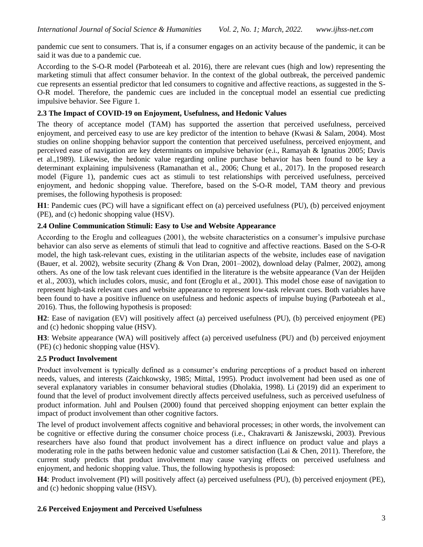pandemic cue sent to consumers. That is, if a consumer engages on an activity because of the pandemic, it can be said it was due to a pandemic cue.

According to the S-O-R model (Parboteeah et al. 2016), there are relevant cues (high and low) representing the marketing stimuli that affect consumer behavior. In the context of the global outbreak, the perceived pandemic cue represents an essential predictor that led consumers to cognitive and affective reactions, as suggested in the S-O-R model. Therefore, the pandemic cues are included in the conceptual model an essential cue predicting impulsive behavior. See Figure 1.

# **2.3 The Impact of COVID-19 on Enjoyment, Usefulness, and Hedonic Values**

The theory of acceptance model (TAM) has supported the assertion that perceived usefulness, perceived enjoyment, and perceived easy to use are key predictor of the intention to behave (Kwasi & Salam, 2004). Most studies on online shopping behavior support the contention that perceived usefulness, perceived enjoyment, and perceived ease of navigation are key determinants on impulsive behavior (e.i., Ramayah & Ignatius 2005; Davis et al.,1989). Likewise, the hedonic value regarding online purchase behavior has been found to be key a determinant explaining impulsiveness (Ramanathan et al., 2006; Chung et al., 2017). In the proposed research model (Figure 1), pandemic cues act as stimuli to test relationships with perceived usefulness, perceived enjoyment, and hedonic shopping value. Therefore, based on the S-O-R model, TAM theory and previous premises, the following hypothesis is proposed:

**H1**: Pandemic cues (PC) will have a significant effect on (a) perceived usefulness (PU), (b) perceived enjoyment (PE), and (c) hedonic shopping value (HSV).

## **2.4 Online Communication Stimuli: Easy to Use and Website Appearance**

According to the Eroglu and colleagues (2001), the website characteristics on a consumer's impulsive purchase behavior can also serve as elements of stimuli that lead to cognitive and affective reactions. Based on the S-O-R model, the high task-relevant cues, existing in the utilitarian aspects of the website, includes ease of navigation (Bauer, et al. 2002), website security (Zhang & Von Dran, 2001–2002), download delay (Palmer, 2002), among others. As one of the low task relevant cues identified in the literature is the website appearance (Van der Heijden et al., 2003), which includes colors, music, and font (Eroglu et al., 2001). This model chose ease of navigation to represent high-task relevant cues and website appearance to represent low-task relevant cues. Both variables have been found to have a positive influence on usefulness and hedonic aspects of impulse buying (Parboteeah et al., 2016). Thus, the following hypothesis is proposed:

**H2**: Ease of navigation (EV) will positively affect (a) perceived usefulness (PU), (b) perceived enjoyment (PE) and (c) hedonic shopping value (HSV).

**H3**: Website appearance (WA) will positively affect (a) perceived usefulness (PU) and (b) perceived enjoyment (PE) (c) hedonic shopping value (HSV).

### **2.5 Product Involvement**

Product involvement is typically defined as a consumer's enduring perceptions of a product based on inherent needs, values, and interests (Zaichkowsky, 1985; Mittal, 1995). Product involvement had been used as one of several explanatory variables in consumer behavioral studies (Dholakia, 1998). Li (2019) did an experiment to found that the level of product involvement directly affects perceived usefulness, such as perceived usefulness of product information. Juhl and Poulsen (2000) found that perceived shopping enjoyment can better explain the impact of product involvement than other cognitive factors.

The level of product involvement affects cognitive and behavioral processes; in other words, the involvement can be cognitive or effective during the consumer choice process (i.e., Chakravarti & Janiszewski, 2003). Previous researchers have also found that product involvement has a direct influence on product value and plays a moderating role in the paths between hedonic value and customer satisfaction (Lai & Chen, 2011). Therefore, the current study predicts that product involvement may cause varying effects on perceived usefulness and enjoyment, and hedonic shopping value. Thus, the following hypothesis is proposed:

**H4**: Product involvement (PI) will positively affect (a) perceived usefulness (PU), (b) perceived enjoyment (PE), and (c) hedonic shopping value (HSV).

### **2.6 Perceived Enjoyment and Perceived Usefulness**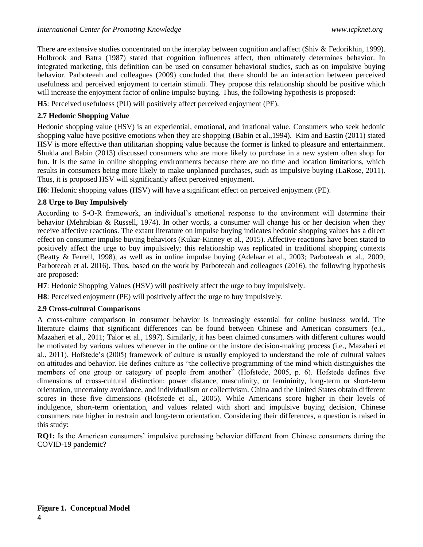There are extensive studies concentrated on the interplay between cognition and affect (Shiv & Fedorikhin, 1999). Holbrook and Batra (1987) stated that cognition influences affect, then ultimately determines behavior. In integrated marketing, this definition can be used on consumer behavioral studies, such as on impulsive buying behavior. Parboteeah and colleagues (2009) concluded that there should be an interaction between perceived usefulness and perceived enjoyment to certain stimuli. They propose this relationship should be positive which will increase the enjoyment factor of online impulse buying. Thus, the following hypothesis is proposed:

**H5**: Perceived usefulness (PU) will positively affect perceived enjoyment (PE).

# **2.7 Hedonic Shopping Value**

Hedonic shopping value (HSV) is an experiential, emotional, and irrational value. Consumers who seek hedonic shopping value have positive emotions when they are shopping (Babin et al.,1994). Kim and Eastin (2011) stated HSV is more effective than utilitarian shopping value because the former is linked to pleasure and entertainment. Shukla and Babin (2013) discussed consumers who are more likely to purchase in a new system often shop for fun. It is the same in online shopping environments because there are no time and location limitations, which results in consumers being more likely to make unplanned purchases, such as impulsive buying (LaRose, 2011). Thus, it is proposed HSV will significantly affect perceived enjoyment.

**H6**: Hedonic shopping values (HSV) will have a significant effect on perceived enjoyment (PE).

## **2.8 Urge to Buy Impulsively**

According to S-O-R framework, an individual's emotional response to the environment will determine their behavior (Mehrabian & Russell, 1974). In other words, a consumer will change his or her decision when they receive affective reactions. The extant literature on impulse buying indicates hedonic shopping values has a direct effect on consumer impulse buying behaviors (Kukar-Kinney et al., 2015). Affective reactions have been stated to positively affect the urge to buy impulsively; this relationship was replicated in traditional shopping contexts (Beatty & Ferrell, 1998), as well as in online impulse buying (Adelaar et al., 2003; Parboteeah et al., 2009; Parboteeah et al. 2016). Thus, based on the work by Parboteeah and colleagues (2016), the following hypothesis are proposed:

**H7**: Hedonic Shopping Values (HSV) will positively affect the urge to buy impulsively.

**H8**: Perceived enjoyment (PE) will positively affect the urge to buy impulsively.

### **2.9 Cross-cultural Comparisons**

A cross-culture comparison in consumer behavior is increasingly essential for online business world. The literature claims that significant differences can be found between Chinese and American consumers (e.i., Mazaheri et al., 2011; Talor et al., 1997). Similarly, it has been claimed consumers with different cultures would be motivated by various values whenever in the online or the instore decision-making process (i.e., Mazaheri et al., 2011). Hofstede's (2005) framework of culture is usually employed to understand the role of cultural values on attitudes and behavior. He defines culture as "the collective programming of the mind which distinguishes the members of one group or category of people from another" (Hofstede, 2005, p. 6). Hofstede defines five dimensions of cross-cultural distinction: power distance, masculinity, or femininity, long-term or short-term orientation, uncertainty avoidance, and individualism or collectivism. China and the United States obtain different scores in these five dimensions (Hofstede et al., 2005). While Americans score higher in their levels of indulgence, short-term orientation, and values related with short and impulsive buying decision, Chinese consumers rate higher in restrain and long-term orientation. Considering their differences, a question is raised in this study:

**RQ1:** Is the American consumers' impulsive purchasing behavior different from Chinese consumers during the COVID-19 pandemic?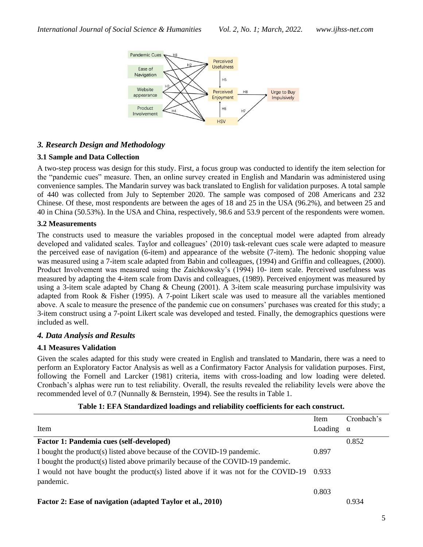

# *3. Research Design and Methodology*

## **3.1 Sample and Data Collection**

A two-step process was design for this study. First, a focus group was conducted to identify the item selection for the "pandemic cues" measure. Then, an online survey created in English and Mandarin was administered using convenience samples. The Mandarin survey was back translated to English for validation purposes. A total sample of 440 was collected from July to September 2020. The sample was composed of 208 Americans and 232 Chinese. Of these, most respondents are between the ages of 18 and 25 in the USA (96.2%), and between 25 and 40 in China (50.53%). In the USA and China, respectively, 98.6 and 53.9 percent of the respondents were women.

## **3.2 Measurements**

The constructs used to measure the variables proposed in the conceptual model were adapted from already developed and validated scales. Taylor and colleagues' (2010) task-relevant cues scale were adapted to measure the perceived ease of navigation (6-item) and appearance of the website (7-item). The hedonic shopping value was measured using a 7-item scale adapted from Babin and colleagues, (1994) and Griffin and colleagues, (2000). Product Involvement was measured using the Zaichkowsky's (1994) 10- item scale. Perceived usefulness was measured by adapting the 4-item scale from Davis and colleagues, (1989). Perceived enjoyment was measured by using a 3-item scale adapted by Chang & Cheung (2001). A 3-item scale measuring purchase impulsivity was adapted from Rook & Fisher (1995). A 7-point Likert scale was used to measure all the variables mentioned above. A scale to measure the presence of the pandemic cue on consumers' purchases was created for this study; a 3-item construct using a 7-point Likert scale was developed and tested. Finally, the demographics questions were included as well.

# *4. Data Analysis and Results*

### **4.1 Measures Validation**

Given the scales adapted for this study were created in English and translated to Mandarin, there was a need to perform an Exploratory Factor Analysis as well as a Confirmatory Factor Analysis for validation purposes. First, following the Fornell and Larcker (1981) criteria, items with cross-loading and low loading were deleted. Cronbach's alphas were run to test reliability. Overall, the results revealed the reliability levels were above the recommended level of 0.7 (Nunnally & Bernstein, 1994). See the results in Table 1.

|                                                                                    | Item    | Cronbach's |
|------------------------------------------------------------------------------------|---------|------------|
| Item                                                                               | Loading | $\alpha$   |
| Factor 1: Pandemia cues (self-developed)                                           |         | 0.852      |
| I bought the product(s) listed above because of the COVID-19 pandemic.             | 0.897   |            |
| I bought the product(s) listed above primarily because of the COVID-19 pandemic.   |         |            |
| I would not have bought the product(s) listed above if it was not for the COVID-19 | 0.933   |            |
| pandemic.                                                                          |         |            |
|                                                                                    | 0.803   |            |
| Factor 2: Ease of navigation (adapted Taylor et al., 2010)                         |         | 0.934      |

### **Table 1: EFA Standardized loadings and reliability coefficients for each construct.**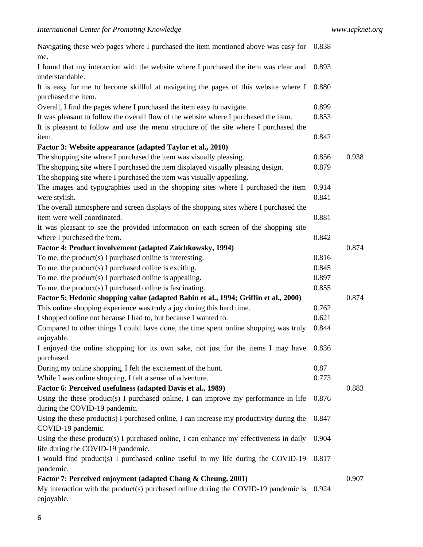| Navigating these web pages where I purchased the item mentioned above was easy for                                     | 0.838 |       |
|------------------------------------------------------------------------------------------------------------------------|-------|-------|
| me.                                                                                                                    |       |       |
| I found that my interaction with the website where I purchased the item was clear and<br>understandable.               | 0.893 |       |
| It is easy for me to become skillful at navigating the pages of this website where I                                   | 0.880 |       |
| purchased the item.                                                                                                    |       |       |
| Overall, I find the pages where I purchased the item easy to navigate.                                                 | 0.899 |       |
| It was pleasant to follow the overall flow of the website where I purchased the item.                                  | 0.853 |       |
| It is pleasant to follow and use the menu structure of the site where I purchased the                                  |       |       |
| item.                                                                                                                  | 0.842 |       |
| Factor 3: Website appearance (adapted Taylor et al., 2010)                                                             |       |       |
| The shopping site where I purchased the item was visually pleasing.                                                    | 0.856 | 0.938 |
| The shopping site where I purchased the item displayed visually pleasing design.                                       | 0.879 |       |
| The shopping site where I purchased the item was visually appealing.                                                   |       |       |
| The images and typographies used in the shopping sites where I purchased the item                                      | 0.914 |       |
| were stylish.                                                                                                          | 0.841 |       |
| The overall atmosphere and screen displays of the shopping sites where I purchased the                                 |       |       |
| item were well coordinated.                                                                                            | 0.881 |       |
| It was pleasant to see the provided information on each screen of the shopping site                                    |       |       |
| where I purchased the item.                                                                                            | 0.842 |       |
| Factor 4: Product involvement (adapted Zaichkowsky, 1994)                                                              |       | 0.874 |
| To me, the product(s) I purchased online is interesting.                                                               | 0.816 |       |
| To me, the product(s) I purchased online is exciting.                                                                  | 0.845 |       |
| To me, the product(s) I purchased online is appealing.                                                                 | 0.897 |       |
| To me, the product(s) I purchased online is fascinating.                                                               | 0.855 |       |
| Factor 5: Hedonic shopping value (adapted Babin et al., 1994; Griffin et al., 2000)                                    |       | 0.874 |
| This online shopping experience was truly a joy during this hard time.                                                 | 0.762 |       |
| I shopped online not because I had to, but because I wanted to.                                                        | 0.621 |       |
|                                                                                                                        |       |       |
| Compared to other things I could have done, the time spent online shopping was truly<br>enjoyable.                     | 0.844 |       |
| I enjoyed the online shopping for its own sake, not just for the items I may have                                      | 0.836 |       |
| purchased.                                                                                                             |       |       |
| During my online shopping, I felt the excitement of the hunt.                                                          | 0.87  |       |
| While I was online shopping, I felt a sense of adventure.                                                              | 0.773 |       |
| Factor 6: Perceived usefulness (adapted Davis et al., 1989)                                                            |       | 0.883 |
| Using the these product(s) I purchased online, I can improve my performance in life<br>during the COVID-19 pandemic.   | 0.876 |       |
| Using the these product(s) I purchased online, I can increase my productivity during the                               | 0.847 |       |
| COVID-19 pandemic.                                                                                                     |       |       |
| Using the these product(s) I purchased online, I can enhance my effectiveness in daily                                 | 0.904 |       |
| life during the COVID-19 pandemic.<br>I would find product(s) I purchased online useful in my life during the COVID-19 | 0.817 |       |
| pandemic.                                                                                                              |       |       |
| Factor 7: Perceived enjoyment (adapted Chang & Cheung, 2001)                                                           |       | 0.907 |
| My interaction with the product(s) purchased online during the COVID-19 pandemic is                                    | 0.924 |       |
| enjoyable.                                                                                                             |       |       |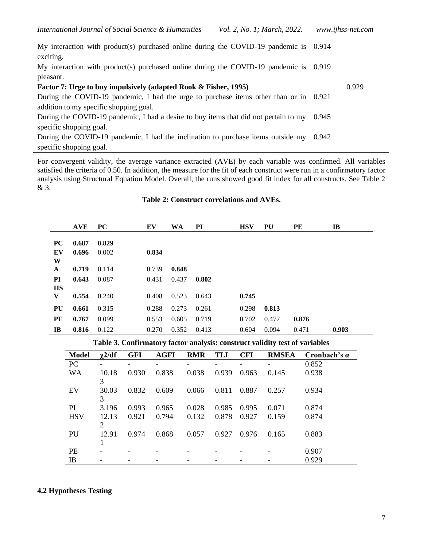My interaction with product(s) purchased online during the COVID-19 pandemic is 0.914 exciting.

My interaction with product(s) purchased online during the COVID-19 pandemic is 0.919 pleasant.

| Factor 7: Urge to buy impulsively (adapted Rook & Fisher, 1995)                            |  |  |  |  |  |
|--------------------------------------------------------------------------------------------|--|--|--|--|--|
| During the COVID-19 pandemic, I had the urge to purchase items other than or in 0.921      |  |  |  |  |  |
| addition to my specific shopping goal.                                                     |  |  |  |  |  |
| During the COVID-19 pandemic, I had a desire to buy items that did not pertain to my 0.945 |  |  |  |  |  |
| specific shopping goal.                                                                    |  |  |  |  |  |
| During the COVID-19 pandemic, I had the inclination to purchase items outside my 0.942     |  |  |  |  |  |
| specific shopping goal.                                                                    |  |  |  |  |  |

For convergent validity, the average variance extracted (AVE) by each variable was confirmed. All variables satisfied the criteria of 0.50. In addition, the measure for the fit of each construct were run in a confirmatory factor analysis using Structural Equation Model. Overall, the runs showed good fit index for all constructs. See Table 2 & 3.

|              | <b>AVE</b> | <b>PC</b> | EV    | WA    | PI    | <b>HSV</b> | PU    | PE    | $\mathbf{I}$ |
|--------------|------------|-----------|-------|-------|-------|------------|-------|-------|--------------|
| <b>PC</b>    | 0.687      | 0.829     |       |       |       |            |       |       |              |
| EV           | 0.696      | 0.002     | 0.834 |       |       |            |       |       |              |
| W            |            |           |       |       |       |            |       |       |              |
| $\mathbf{A}$ | 0.719      | 0.114     | 0.739 | 0.848 |       |            |       |       |              |
| PI           | 0.643      | 0.087     | 0.431 | 0.437 | 0.802 |            |       |       |              |
| <b>HS</b>    |            |           |       |       |       |            |       |       |              |
| V            | 0.554      | 0.240     | 0.408 | 0.523 | 0.643 | 0.745      |       |       |              |
| PU           | 0.661      | 0.315     | 0.288 | 0.273 | 0.261 | 0.298      | 0.813 |       |              |
| PE           | 0.767      | 0.099     | 0.553 | 0.605 | 0.719 | 0.702      | 0.477 | 0.876 |              |
| $\bf{IB}$    | 0.816      | 0.122     | 0.270 | 0.352 | 0.413 | 0.604      | 0.094 | 0.471 | 0.903        |

## **Table 2: Construct correlations and AVEs.**

**Table 3. Confirmatory factor analysis: construct validity test of variables**

| <b>Model</b> | $\gamma$ 2/df            | <b>GFI</b>      | <b>AGFI</b> | <b>RMR</b> | <b>TLI</b> | <b>CFI</b> | <b>RMSEA</b> | Cronbach's $\alpha$ |
|--------------|--------------------------|-----------------|-------------|------------|------------|------------|--------------|---------------------|
| <b>PC</b>    | $\overline{\phantom{0}}$ | $\qquad \qquad$ | -           |            |            |            |              | 0.852               |
| <b>WA</b>    | 10.18<br>3               | 0.930           | 0.838       | 0.038      | 0.939      | 0.963      | 0.145        | 0.938               |
| EV           | 30.03<br>3               | 0.832           | 0.609       | 0.066      | 0.811      | 0.887      | 0.257        | 0.934               |
| <b>PI</b>    | 3.196                    | 0.993           | 0.965       | 0.028      | 0.985      | 0.995      | 0.071        | 0.874               |
| <b>HSV</b>   | 12.13<br>2               | 0.921           | 0.794       | 0.132      | 0.878      | 0.927      | 0.159        | 0.874               |
| PU           | 12.91                    | 0.974           | 0.868       | 0.057      | 0.927      | 0.976      | 0.165        | 0.883               |
| <b>PE</b>    |                          |                 |             |            |            |            |              | 0.907               |
| IB           |                          |                 |             |            |            |            |              | 0.929               |

### **4.2 Hypotheses Testing**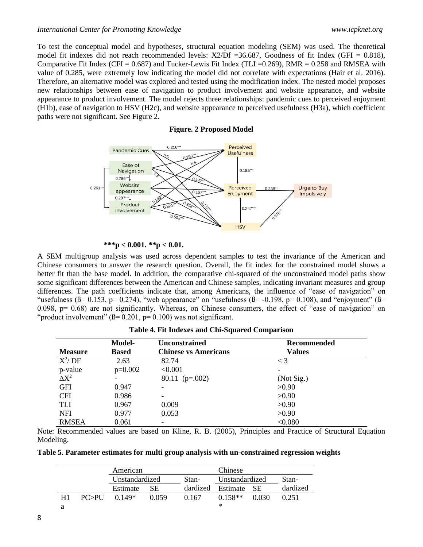#### *International Center for Promoting Knowledge www.icpknet.org*

To test the conceptual model and hypotheses, structural equation modeling (SEM) was used. The theoretical model fit indexes did not reach recommended levels:  $X2/Df = 36.687$ , Goodness of fit Index (GFI = 0.818), Comparative Fit Index (CFI =  $0.687$ ) and Tucker-Lewis Fit Index (TLI =  $0.269$ ), RMR =  $0.258$  and RMSEA with value of 0.285, were extremely low indicating the model did not correlate with expectations (Hair et al. 2016). Therefore, an alternative model was explored and tested using the modification index. The nested model proposes new relationships between ease of navigation to product involvement and website appearance, and website appearance to product involvement. The model rejects three relationships: pandemic cues to perceived enjoyment (H1b), ease of navigation to HSV (H2c), and website appearance to perceived usefulness (H3a), which coefficient paths were not significant. See Figure 2.

**Figure. 2 Proposed Model**



 **\*\*\*p** *<* **0.001. \*\*p** *<* **0.01.**

A SEM multigroup analysis was used across dependent samples to test the invariance of the American and Chinese consumers to answer the research question. Overall, the fit index for the constrained model shows a better fit than the base model. In addition, the comparative chi-squared of the unconstrained model paths show some significant differences between the American and Chinese samples, indicating invariant measures and group differences. The path coefficients indicate that, among Americans, the influence of "ease of navigation" on "usefulness ( $\beta$ = 0.153,  $p$ = 0.274), "web appearance" on "usefulness ( $\beta$ = -0.198,  $p$ = 0.108), and "enjoyment" ( $\beta$ =  $0.098$ ,  $p= 0.68$ ) are not significantly. Whereas, on Chinese consumers, the effect of "ease of navigation" on "product involvement" ( $\beta$ = 0.201, p= 0.100) was not significant.

| <b>Measure</b> | Model-<br><b>Based</b> | <b>Unconstrained</b><br><b>Chinese vs Americans</b> | Recommended<br><b>Values</b> |
|----------------|------------------------|-----------------------------------------------------|------------------------------|
| $X^2/DF$       | 2.63                   | 82.74                                               | $\leq 3$                     |
| p-value        | $p=0.002$              | < 0.001                                             |                              |
| $\Delta X^2$   | -                      | $80.11$ (p=.002)                                    | (Not Sig.)                   |
| <b>GFI</b>     | 0.947                  |                                                     | >0.90                        |
| <b>CFI</b>     | 0.986                  |                                                     | >0.90                        |
| <b>TLI</b>     | 0.967                  | 0.009                                               | >0.90                        |
| <b>NFI</b>     | 0.977                  | 0.053                                               | >0.90                        |
| <b>RMSEA</b>   | 0.061                  |                                                     | < 0.080                      |

| Table 4. Fit Indexes and Chi-Squared Comparison |  |  |
|-------------------------------------------------|--|--|
|-------------------------------------------------|--|--|

Note: Recommended values are based on Kline, R. B. (2005), Principles and Practice of Structural Equation Modeling.

**Table 5. Parameter estimates for multi group analysis with un-constrained regression weights**

|    |         | American       |       |       | Chinese              |       |          |  |
|----|---------|----------------|-------|-------|----------------------|-------|----------|--|
|    |         | Unstandardized |       | Stan- | Unstandardized       |       | Stan-    |  |
|    |         | Estimate       | SE.   |       | dardized Estimate SE |       | dardized |  |
| H1 | PC > PI | $0.149*$       | 0.059 | 0.167 | $0.158**$            | 0.030 | 0.251    |  |
|    |         |                |       |       | ∗                    |       |          |  |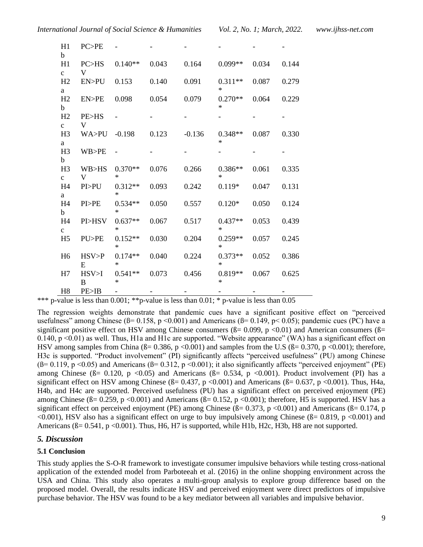| H1<br>b                        | PC>PE        |                     |       |          |                     |       |       |
|--------------------------------|--------------|---------------------|-------|----------|---------------------|-------|-------|
| H1<br>$\mathbf{C}$             | PC>HS<br>V   | $0.140**$           | 0.043 | 0.164    | $0.099**$           | 0.034 | 0.144 |
| H2<br>$\mathbf{a}$             | EN>PU        | 0.153               | 0.140 | 0.091    | $0.311**$<br>$\ast$ | 0.087 | 0.279 |
| H2<br>$\mathbf b$              | EN>PE        | 0.098               | 0.054 | 0.079    | $0.270**$<br>∗      | 0.064 | 0.229 |
| H <sub>2</sub><br>$\mathbf{C}$ | PE>HS<br>V   |                     |       |          |                     |       |       |
| H <sub>3</sub><br>a            | WA>PU        | $-0.198$            | 0.123 | $-0.136$ | $0.348**$<br>∗      | 0.087 | 0.330 |
| H <sub>3</sub><br>$\mathbf b$  | WB>PE        | $\blacksquare$      |       |          |                     |       |       |
| H <sub>3</sub><br>$\mathbf{C}$ | WB>HS<br>V   | $0.370**$<br>∗      | 0.076 | 0.266    | $0.386**$<br>*      | 0.061 | 0.335 |
| H <sub>4</sub><br>a            | PI>PU        | $0.312**$<br>$\ast$ | 0.093 | 0.242    | $0.119*$            | 0.047 | 0.131 |
| H <sub>4</sub><br>$\mathbf b$  | PI>PE        | $0.534**$<br>$\ast$ | 0.050 | 0.557    | $0.120*$            | 0.050 | 0.124 |
| H <sub>4</sub><br>$\mathbf{C}$ | PI>HSV       | $0.637**$<br>$\ast$ | 0.067 | 0.517    | $0.437**$<br>$\ast$ | 0.053 | 0.439 |
| H <sub>5</sub>                 | PU>PE        | $0.152**$<br>∗      | 0.030 | 0.204    | $0.259**$<br>∗      | 0.057 | 0.245 |
| H <sub>6</sub>                 | HSV > P<br>E | $0.174**$<br>∗      | 0.040 | 0.224    | $0.373**$<br>∗      | 0.052 | 0.386 |
| H7                             | HSV>I<br>B   | $0.541**$<br>∗      | 0.073 | 0.456    | $0.819**$<br>∗      | 0.067 | 0.625 |
| H <sub>8</sub>                 | PE>IB        |                     |       |          |                     |       |       |

\*\*\* p-value is less than 0.001; \*\* p-value is less than 0.01; \* p-value is less than 0.05

The regression weights demonstrate that pandemic cues have a significant positive effect on "perceived usefulness" among Chinese ( $\beta$ = 0.158, p <0.001) and Americans ( $\beta$ = 0.149, p < 0.05); pandemic cues (PC) have a significant positive effect on HSV among Chinese consumers ( $\beta$ = 0.099, p <0.01) and American consumers ( $\beta$ = 0.140, p <0.01) as well. Thus, H1a and H1c are supported. "Website appearance" (WA) has a significant effect on HSV among samples from China ( $\beta$ = 0.386, p <0.001) and samples from the U.S ( $\beta$ = 0.370, p <0.001); therefore, H3c is supported. "Product involvement" (PI) significantly affects "perceived usefulness" (PU) among Chinese ( $\beta$ = 0.119,  $p$  < 0.05) and Americans ( $\beta$ = 0.312,  $p$  < 0.001); it also significantly affects "perceived enjoyment" (PE) among Chinese ( $\beta$  = 0.120, p <0.05) and Americans ( $\beta$  = 0.534, p <0.001). Product involvement (PI) has a significant effect on HSV among Chinese ( $\beta$ = 0.437, p <0.001) and Americans ( $\beta$ = 0.637, p <0.001). Thus, H4a, H4b, and H4c are supported. Perceived usefulness (PU) has a significant effect on perceived enjoyment (PE) among Chinese ( $\beta$ = 0.259, p <0.001) and Americans ( $\beta$ = 0.152, p <0.001); therefore, H5 is supported. HSV has a significant effect on perceived enjoyment (PE) among Chinese  $(B= 0.373, p < 0.001)$  and Americans  $(B= 0.174, p$  $\leq 0.001$ ), HSV also has a significant effect on urge to buy impulsively among Chinese ( $\beta$ = 0.819, p  $\leq 0.001$ ) and Americans ( $\beta$ = 0.541, p <0.001). Thus, H6, H7 is supported, while H1b, H2c, H3b, H8 are not supported.

### *5. Discussion*

#### **5.1 Conclusion**

This study applies the S-O-R framework to investigate consumer impulsive behaviors while testing cross-national application of the extended model from Parboteeah et al. (2016) in the online shopping environment across the USA and China. This study also operates a multi-group analysis to explore group difference based on the proposed model. Overall, the results indicate HSV and perceived enjoyment were direct predictors of impulsive purchase behavior. The HSV was found to be a key mediator between all variables and impulsive behavior.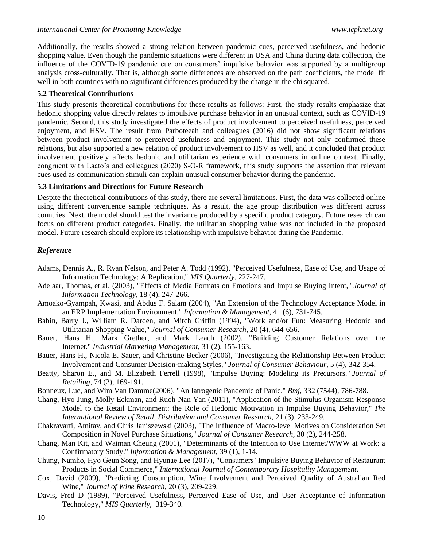Additionally, the results showed a strong relation between pandemic cues, perceived usefulness, and hedonic shopping value. Even though the pandemic situations were different in USA and China during data collection, the influence of the COVID-19 pandemic cue on consumers' impulsive behavior was supported by a multigroup analysis cross-culturally. That is, although some differences are observed on the path coefficients, the model fit well in both countries with no significant differences produced by the change in the chi squared.

## **5.2 Theoretical Contributions**

This study presents theoretical contributions for these results as follows: First, the study results emphasize that hedonic shopping value directly relates to impulsive purchase behavior in an unusual context, such as COVID-19 pandemic. Second, this study investigated the effects of product involvement to perceived usefulness, perceived enjoyment, and HSV. The result from Parboteeah and colleagues (2016) did not show significant relations between product involvement to perceived usefulness and enjoyment. This study not only confirmed these relations, but also supported a new relation of product involvement to HSV as well, and it concluded that product involvement positively affects hedonic and utilitarian experience with consumers in online context. Finally, congruent with Laato's and colleagues (2020) S-O-R framework, this study supports the assertion that relevant cues used as communication stimuli can explain unusual consumer behavior during the pandemic.

## **5.3 Limitations and Directions for Future Research**

Despite the theoretical contributions of this study, there are several limitations. First, the data was collected online using different convenience sample techniques. As a result, the age group distribution was different across countries. Next, the model should test the invariance produced by a specific product category. Future research can focus on different product categories. Finally, the utilitarian shopping value was not included in the proposed model. Future research should explore its relationship with impulsive behavior during the Pandemic.

# *Reference*

- Adams, Dennis A., R. Ryan Nelson, and Peter A. Todd (1992), "Perceived Usefulness, Ease of Use, and Usage of Information Technology: A Replication," *MIS Quarterly*, 227-247.
- Adelaar, Thomas, et al. (2003), "Effects of Media Formats on Emotions and Impulse Buying Intent," *Journal of Information Technology,* 18 (4), 247-266.
- Amoako-Gyampah, Kwasi, and Abdus F. Salam (2004), "An Extension of the Technology Acceptance Model in an ERP Implementation Environment," *Information & Management,* 41 (6), 731-745.
- Babin, Barry J., William R. Darden, and Mitch Griffin (1994), "Work and/or Fun: Measuring Hedonic and Utilitarian Shopping Value," *Journal of Consumer Research,* 20 (4), 644-656.
- Bauer, Hans H., Mark Grether, and Mark Leach (2002), "Building Customer Relations over the Internet." *Industrial Marketing Management,* 31 (2), 155-163.
- Bauer, Hans H., Nicola E. Sauer, and Christine Becker (2006), "Investigating the Relationship Between Product Involvement and Consumer Decision‐making Styles," *Journal of Consumer Behaviour,* 5 (4), 342-354.
- Beatty, Sharon E., and M. Elizabeth Ferrell (1998), "Impulse Buying: Modeling its Precursors." *Journal of Retailing,* 74 (2), 169-191.
- Bonneux, Luc, and Wim Van Damme(2006), "An Iatrogenic Pandemic of Panic." *Bmj,* 332 (7544), 786-788.
- Chang, Hyo-Jung, Molly Eckman, and Ruoh-Nan Yan (2011), "Application of the Stimulus-Organism-Response Model to the Retail Environment: the Role of Hedonic Motivation in Impulse Buying Behavior," *The International Review of Retail, Distribution and Consumer Research*, 21 (3), 233-249.
- Chakravarti, Amitav, and Chris Janiszewski (2003), "The Influence of Macro-level Motives on Consideration Set Composition in Novel Purchase Situations," *Journal of Consumer Research,* 30 (2), 244-258.
- Chang, Man Kit, and Waiman Cheung (2001), "Determinants of the Intention to Use Internet/WWW at Work: a Confirmatory Study." *Information & Management,* 39 (1), 1-14.
- Chung, Namho, Hyo Geun Song, and Hyunae Lee (2017), "Consumers' Impulsive Buying Behavior of Restaurant Products in Social Commerce," *International Journal of Contemporary Hospitality Management*.
- Cox, David (2009), "Predicting Consumption, Wine Involvement and Perceived Quality of Australian Red Wine," *Journal of Wine Research,* 20 (3), 209-229.
- Davis, Fred D (1989), "Perceived Usefulness, Perceived Ease of Use, and User Acceptance of Information Technology," *MIS Quarterly*, 319-340.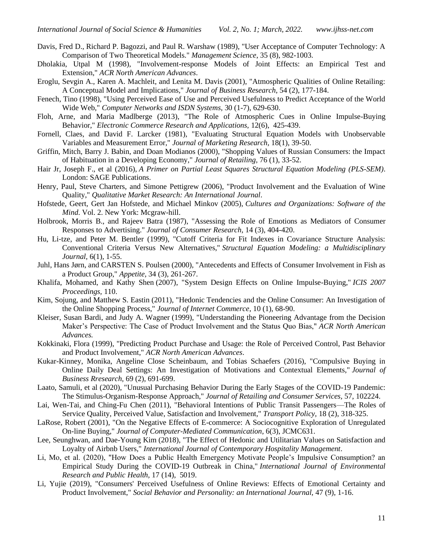- Davis, Fred D., Richard P. Bagozzi, and Paul R. Warshaw (1989), "User Acceptance of Computer Technology: A Comparison of Two Theoretical Models." *Management Science*, 35 (8), 982-1003.
- Dholakia, Utpal M (1998), "Involvement-response Models of Joint Effects: an Empirical Test and Extension," *ACR North American Advances*.
- Eroglu, Sevgin A., Karen A. Machleit, and Lenita M. Davis (2001), "Atmospheric Qualities of Online Retailing: A Conceptual Model and Implications," *Journal of Business Research*, 54 (2), 177-184.
- Fenech, Tino (1998), "Using Perceived Ease of Use and Perceived Usefulness to Predict Acceptance of the World Wide Web," *Computer Networks and ISDN Systems,* 30 (1-7), 629-630.
- Floh, Arne, and Maria Madlberge (2013), "The Role of Atmospheric Cues in Online Impulse-Buying Behavior," *Electronic Commerce Research and Applications,* 12(6), 425-439.
- Fornell, Claes, and David F. Larcker (1981), "Evaluating Structural Equation Models with Unobservable Variables and Measurement Error," *Journal of Marketing Research,* 18(1), 39-50.
- Griffin, Mitch, Barry J. Babin, and Doan Modianos (2000), "Shopping Values of Russian Consumers: the Impact of Habituation in a Developing Economy," *Journal of Retailing,* 76 (1), 33-52.
- Hair Jr, Joseph F., et al (2016), *A Primer on Partial Least Squares Structural Equation Modeling (PLS-SEM)*. London: SAGE Publications.
- Henry, Paul, Steve Charters, and Simone Pettigrew (2006), "Product Involvement and the Evaluation of Wine Quality," *Qualitative Market Research: An International Journal*.
- Hofstede, Geert, Gert Jan Hofstede, and Michael Minkov (2005), *Cultures and Organizations: Software of the Mind*. Vol. 2. New York: Mcgraw-hill.
- Holbrook, Morris B., and Rajeev Batra (1987), "Assessing the Role of Emotions as Mediators of Consumer Responses to Advertising." *Journal of Consumer Research,* 14 (3), 404-420.
- Hu, Li-tze, and Peter M. Bentler (1999), "Cutoff Criteria for Fit Indexes in Covariance Structure Analysis: Conventional Criteria Versus New Alternatives," *Structural Equation Modeling: a Multidisciplinary Journal,* 6(1), 1-55.
- Juhl, Hans Jørn, and CARSTEN S. Poulsen (2000), "Antecedents and Effects of Consumer Involvement in Fish as a Product Group," *Appetite,* 34 (3), 261-267.
- Khalifa, Mohamed, and Kathy Shen (2007), "System Design Effects on Online Impulse-Buying," *ICIS 2007 Proceedings,* 110.
- Kim, Sojung, and Matthew S. Eastin (2011), "Hedonic Tendencies and the Online Consumer: An Investigation of the Online Shopping Process," *Journal of Internet Commerce*, 10 (1), 68-90.
- Kleiser, Susan Bardi, and Judy A. Wagner (1999), "Understanding the Pioneering Advantage from the Decision Maker's Perspective: The Case of Product Involvement and the Status Quo Bias," *ACR North American Advances.*
- Kokkinaki, Flora (1999), "Predicting Product Purchase and Usage: the Role of Perceived Control, Past Behavior and Product Involvement," *ACR North American Advances*.
- Kukar-Kinney, Monika, Angeline Close Scheinbaum, and Tobias Schaefers (2016), "Compulsive Buying in Online Daily Deal Settings: An Investigation of Motivations and Contextual Elements," *Journal of Business Rresearch,* 69 (2), 691-699.
- Laato, Samuli, et al (2020), "Unusual Purchasing Behavior During the Early Stages of the COVID-19 Pandemic: The Stimulus-Organism-Response Approach," *Journal of Retailing and Consumer Services,* 57, 102224.
- Lai, Wen-Tai, and Ching-Fu Chen (2011), "Behavioral Intentions of Public Transit Passengers—The Roles of Service Quality, Perceived Value, Satisfaction and Involvement," *Transport Policy,* 18 (2), 318-325.
- LaRose, Robert (2001), "On the Negative Effects of E-commerce: A Sociocognitive Exploration of Unregulated On-line Buying," *Journal of Computer-Mediated Communication*, 6(3), JCMC631.
- Lee, Seunghwan, and Dae-Young Kim (2018), "The Effect of Hedonic and Utilitarian Values on Satisfaction and Loyalty of Airbnb Users," *International Journal of Contemporary Hospitality Management*.
- Li, Mo, et al. (2020), "How Does a Public Health Emergency Motivate People's Impulsive Consumption? an Empirical Study During the COVID-19 Outbreak in China," *International Journal of Environmental Research and Public Health,* 17 (14), 5019.
- Li, Yujie (2019), "Consumers' Perceived Usefulness of Online Reviews: Effects of Emotional Certainty and Product Involvement," *Social Behavior and Personality: an International Journal,* 47 (9), 1-16.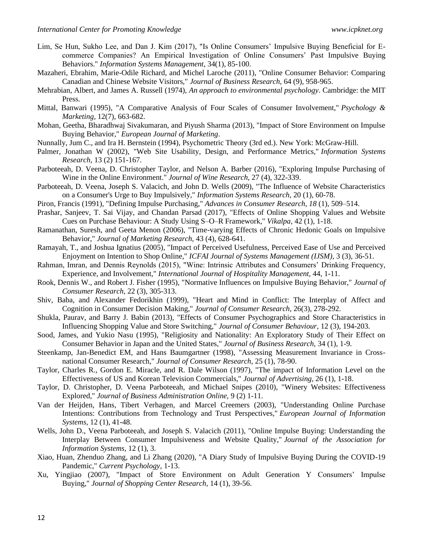- Lim, Se Hun, Sukho Lee, and Dan J. Kim (2017), "Is Online Consumers' Impulsive Buying Beneficial for Ecommerce Companies? An Empirical Investigation of Online Consumers' Past Impulsive Buying Behaviors." *Information Systems Management*, 34(1), 85-100.
- Mazaheri, Ebrahim, Marie-Odile Richard, and Michel Laroche (2011), "Online Consumer Behavior: Comparing Canadian and Chinese Website Visitors," *Journal of Business Research,* 64 (9), 958-965.
- Mehrabian, Albert, and James A. Russell (1974), *An approach to environmental psychology*. Cambridge: the MIT Press.
- Mittal, Banwari (1995), "A Comparative Analysis of Four Scales of Consumer Involvement," *Psychology & Marketing,* 12(7), 663-682.
- Mohan, Geetha, Bharadhwaj Sivakumaran, and Piyush Sharma (2013), "Impact of Store Environment on Impulse Buying Behavior," *European Journal of Marketing*.
- Nunnally, Jum C., and Ira H. Bernstein (1994), Psychometric Theory (3rd ed.). New York: McGraw-Hill.
- Palmer, Jonathan W (2002), "Web Site Usability, Design, and Performance Metrics," *Information Systems Research,* 13 (2) 151-167.
- Parboteeah, D. Veena, D. Christopher Taylor, and Nelson A. Barber (2016), "Exploring Impulse Purchasing of Wine in the Online Environment." *Journal of Wine Research,* 27 (4), 322-339.
- Parboteeah, D. Veena, Joseph S. Valacich, and John D. Wells (2009), "The Influence of Website Characteristics on a Consumer's Urge to Buy Impulsively," *Information Systems Research,* 20 (1), 60-78.
- Piron, Francis (1991), "Defining Impulse Purchasing," *Advances in Consumer Research*, *18* (1), 509–514.
- Prashar, Sanjeev, T. Sai Vijay, and Chandan Parsad (2017), "Effects of Online Shopping Values and Website Cues on Purchase Behaviour: A Study Using S–O–R Framework," *Vikalpa,* 42 (1), 1-18.
- Ramanathan, Suresh, and Geeta Menon (2006), "Time-varying Effects of Chronic Hedonic Goals on Impulsive Behavior," *Journal of Marketing Research,* 43 (4), 628-641.
- Ramayah, T., and Joshua Ignatius (2005), "Impact of Perceived Usefulness, Perceived Ease of Use and Perceived Enjoyment on Intention to Shop Online," *ICFAI Journal of Systems Management (IJSM),* 3 (3), 36-51.
- Rahman, Imran, and Dennis Reynolds (2015), "Wine: Intrinsic Attributes and Consumers' Drinking Frequency, Experience, and Involvement," *International Journal of Hospitality Management,* 44, 1-11.
- Rook, Dennis W., and Robert J. Fisher (1995), "Normative Influences on Impulsive Buying Behavior," *Journal of Consumer Research,* 22 (3), 305-313.
- Shiv, Baba, and Alexander Fedorikhin (1999), "Heart and Mind in Conflict: The Interplay of Affect and Cognition in Consumer Decision Making," *Journal of Consumer Research,* 26(3), 278-292.
- Shukla, Paurav, and Barry J. Babin (2013), "Effects of Consumer Psychographics and Store Characteristics in Influencing Shopping Value and Store Switching," *Journal of Consumer Behaviour,* 12 (3), 194-203.
- Sood, James, and Yukio Nasu (1995), "Religiosity and Nationality: An Exploratory Study of Their Effect on Consumer Behavior in Japan and the United States," *Journal of Business Research,* 34 (1), 1-9.
- Steenkamp, Jan-Benedict EM, and Hans Baumgartner (1998), "Assessing Measurement Invariance in Crossnational Consumer Research," *Journal of Consumer Research,* 25 (1), 78-90.
- Taylor, Charles R., Gordon E. Miracle, and R. Dale Wilson (1997), "The impact of Information Level on the Effectiveness of US and Korean Television Commercials," *Journal of Advertising,* 26 (1), 1-18.
- Taylor, D. Christopher, D. Veena Parboteeah, and Michael Snipes (2010), "Winery Websites: Effectiveness Explored," *Journal of Business Administration Online,* 9 (2) 1-11.
- Van der Heijden, Hans, Tibert Verhagen, and Marcel Creemers (2003), "Understanding Online Purchase Intentions: Contributions from Technology and Trust Perspectives," *European Journal of Information Systems,* 12 (1), 41-48.
- Wells, John D., Veena Parboteeah, and Joseph S. Valacich (2011), "Online Impulse Buying: Understanding the Interplay Between Consumer Impulsiveness and Website Quality," *Journal of the Association for Information Systems,* 12 (1), 3.
- Xiao, Huan, Zhenduo Zhang, and Li Zhang (2020), "A Diary Study of Impulsive Buying During the COVID-19 Pandemic," *Current Psychology*, 1-13.
- Xu, Yingjiao (2007), "Impact of Store Environment on Adult Generation Y Consumers' Impulse Buying," *Journal of Shopping Center Research,* 14 (1), 39-56.